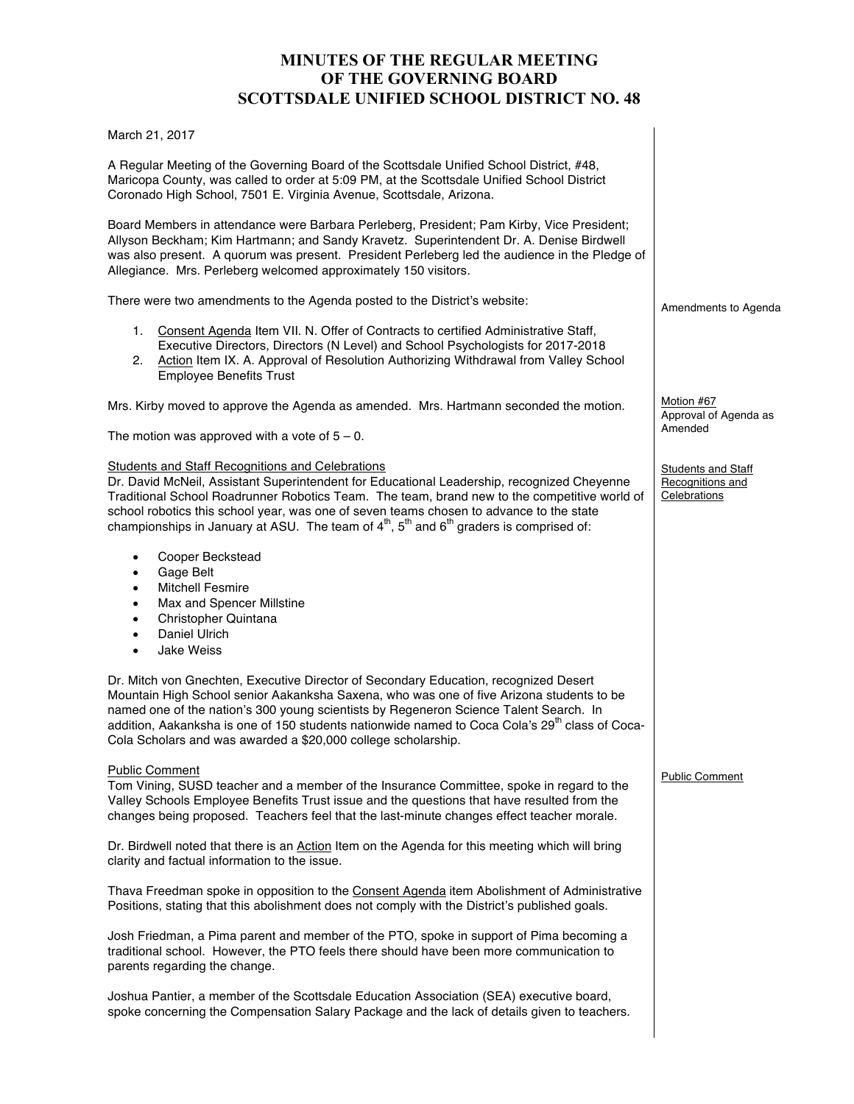# **MINUTES OF THE REGULAR MEETING OF THE GOVERNING BOARD SCOTTSDALE UNIFIED SCHOOL DISTRICT NO. 48**

Amendments to Agenda

Approval of Agenda as

**Students and Staff** Recognitions and **Celebrations** 

Public Comment

Motion #67

Amended

March 21, 2017

A Regular Meeting of the Governing Board of the Scottsdale Unified School District, #48, Maricopa County, was called to order at 5:09 PM, at the Scottsdale Unified School District Coronado High School, 7501 E. Virginia Avenue, Scottsdale, Arizona.

Board Members in attendance were Barbara Perleberg, President; Pam Kirby, Vice President; Allyson Beckham; Kim Hartmann; and Sandy Kravetz. Superintendent Dr. A. Denise Birdwell was also present. A quorum was present. President Perleberg led the audience in the Pledge of Allegiance. Mrs. Perleberg welcomed approximately 150 visitors.

There were two amendments to the Agenda posted to the District's website:

- 1. Consent Agenda Item VII. N. Offer of Contracts to certified Administrative Staff, Executive Directors, Directors (N Level) and School Psychologists for 2017-2018
- 2. Action Item IX. A. Approval of Resolution Authorizing Withdrawal from Valley School Employee Benefits Trust

Mrs. Kirby moved to approve the Agenda as amended. Mrs. Hartmann seconded the motion.

The motion was approved with a vote of  $5 - 0$ .

### Students and Staff Recognitions and Celebrations

Dr. David McNeil, Assistant Superintendent for Educational Leadership, recognized Cheyenne Traditional School Roadrunner Robotics Team. The team, brand new to the competitive world of school robotics this school year, was one of seven teams chosen to advance to the state championships in January at ASU. The team of  $4<sup>th</sup>$ ,  $5<sup>th</sup>$  and  $6<sup>th</sup>$  graders is comprised of:

- Cooper Beckstead
- Gage Belt
- **Mitchell Fesmire**
- Max and Spencer Millstine
- Christopher Quintana
- Daniel Ulrich
- Jake Weiss

Dr. Mitch von Gnechten, Executive Director of Secondary Education, recognized Desert Mountain High School senior Aakanksha Saxena, who was one of five Arizona students to be named one of the nation's 300 young scientists by Regeneron Science Talent Search. In addition. Aakanksha is one of 150 students nationwide named to Coca Cola's 29<sup>th</sup> class of Coca-Cola Scholars and was awarded a \$20,000 college scholarship.

### Public Comment

Tom Vining, SUSD teacher and a member of the Insurance Committee, spoke in regard to the Valley Schools Employee Benefits Trust issue and the questions that have resulted from the changes being proposed. Teachers feel that the last-minute changes effect teacher morale.

Dr. Birdwell noted that there is an Action Item on the Agenda for this meeting which will bring clarity and factual information to the issue.

Thava Freedman spoke in opposition to the Consent Agenda item Abolishment of Administrative Positions, stating that this abolishment does not comply with the District's published goals.

Josh Friedman, a Pima parent and member of the PTO, spoke in support of Pima becoming a traditional school. However, the PTO feels there should have been more communication to parents regarding the change.

Joshua Pantier, a member of the Scottsdale Education Association (SEA) executive board, spoke concerning the Compensation Salary Package and the lack of details given to teachers.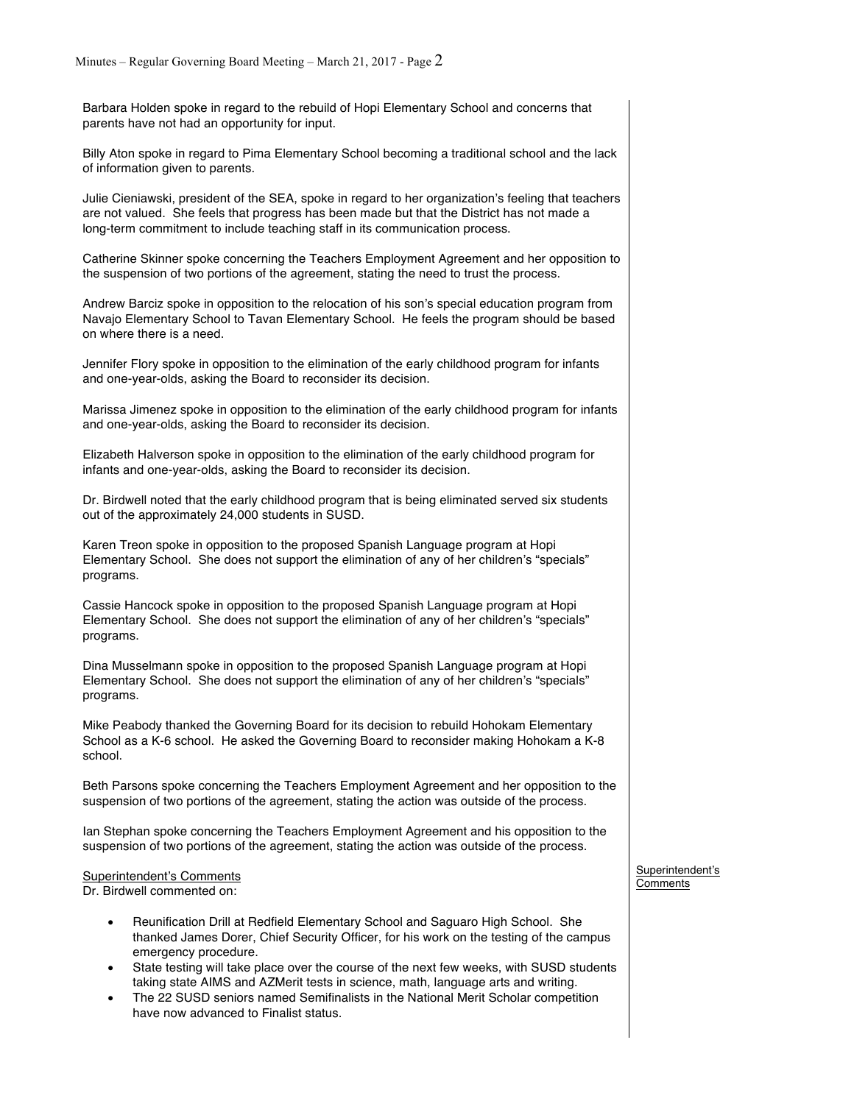Barbara Holden spoke in regard to the rebuild of Hopi Elementary School and concerns that parents have not had an opportunity for input.

Billy Aton spoke in regard to Pima Elementary School becoming a traditional school and the lack of information given to parents.

Julie Cieniawski, president of the SEA, spoke in regard to her organization's feeling that teachers are not valued. She feels that progress has been made but that the District has not made a long-term commitment to include teaching staff in its communication process.

Catherine Skinner spoke concerning the Teachers Employment Agreement and her opposition to the suspension of two portions of the agreement, stating the need to trust the process.

Andrew Barciz spoke in opposition to the relocation of his son's special education program from Navajo Elementary School to Tavan Elementary School. He feels the program should be based on where there is a need.

Jennifer Flory spoke in opposition to the elimination of the early childhood program for infants and one-year-olds, asking the Board to reconsider its decision.

Marissa Jimenez spoke in opposition to the elimination of the early childhood program for infants and one-year-olds, asking the Board to reconsider its decision.

Elizabeth Halverson spoke in opposition to the elimination of the early childhood program for infants and one-year-olds, asking the Board to reconsider its decision.

Dr. Birdwell noted that the early childhood program that is being eliminated served six students out of the approximately 24,000 students in SUSD.

Karen Treon spoke in opposition to the proposed Spanish Language program at Hopi Elementary School. She does not support the elimination of any of her children's "specials" programs.

Cassie Hancock spoke in opposition to the proposed Spanish Language program at Hopi Elementary School. She does not support the elimination of any of her children's "specials" programs.

Dina Musselmann spoke in opposition to the proposed Spanish Language program at Hopi Elementary School. She does not support the elimination of any of her children's "specials" programs.

Mike Peabody thanked the Governing Board for its decision to rebuild Hohokam Elementary School as a K-6 school. He asked the Governing Board to reconsider making Hohokam a K-8 school.

Beth Parsons spoke concerning the Teachers Employment Agreement and her opposition to the suspension of two portions of the agreement, stating the action was outside of the process.

Ian Stephan spoke concerning the Teachers Employment Agreement and his opposition to the suspension of two portions of the agreement, stating the action was outside of the process.

#### Superintendent's Comments

Dr. Birdwell commented on:

- Reunification Drill at Redfield Elementary School and Saguaro High School. She thanked James Dorer, Chief Security Officer, for his work on the testing of the campus emergency procedure.
- State testing will take place over the course of the next few weeks, with SUSD students taking state AIMS and AZMerit tests in science, math, language arts and writing.
- The 22 SUSD seniors named Semifinalists in the National Merit Scholar competition have now advanced to Finalist status.

Superintendent's Comments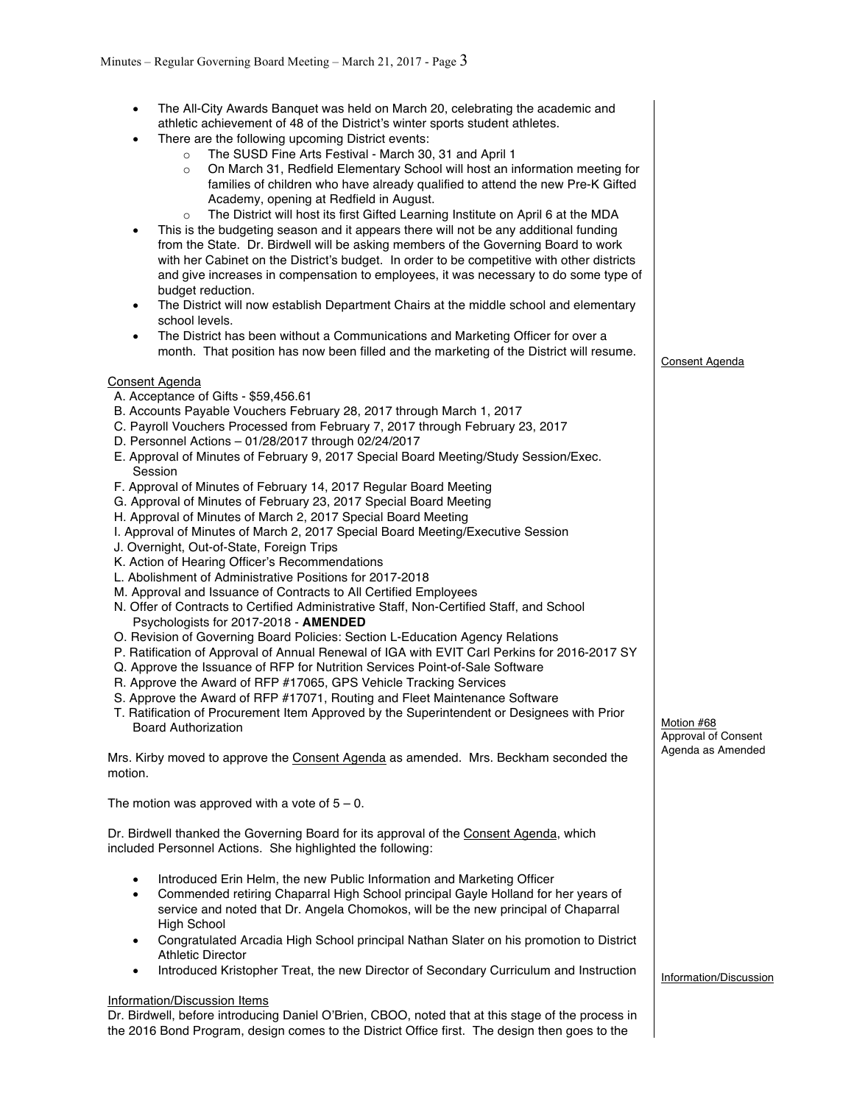• The All-City Awards Banquet was held on March 20, celebrating the academic and athletic achievement of 48 of the District's winter sports student athletes. There are the following upcoming District events: o The SUSD Fine Arts Festival - March 30, 31 and April 1 On March 31, Redfield Elementary School will host an information meeting for families of children who have already qualified to attend the new Pre-K Gifted Academy, opening at Redfield in August. o The District will host its first Gifted Learning Institute on April 6 at the MDA This is the budgeting season and it appears there will not be any additional funding from the State. Dr. Birdwell will be asking members of the Governing Board to work with her Cabinet on the District's budget. In order to be competitive with other districts and give increases in compensation to employees, it was necessary to do some type of budget reduction. • The District will now establish Department Chairs at the middle school and elementary school levels. The District has been without a Communications and Marketing Officer for over a month. That position has now been filled and the marketing of the District will resume. Consent Agenda A. Acceptance of Gifts - \$59,456.61 B. Accounts Payable Vouchers February 28, 2017 through March 1, 2017 C. Payroll Vouchers Processed from February 7, 2017 through February 23, 2017 D. Personnel Actions – 01/28/2017 through 02/24/2017 E. Approval of Minutes of February 9, 2017 Special Board Meeting/Study Session/Exec. Session F. Approval of Minutes of February 14, 2017 Regular Board Meeting G. Approval of Minutes of February 23, 2017 Special Board Meeting H. Approval of Minutes of March 2, 2017 Special Board Meeting I. Approval of Minutes of March 2, 2017 Special Board Meeting/Executive Session J. Overnight, Out-of-State, Foreign Trips K. Action of Hearing Officer's Recommendations L. Abolishment of Administrative Positions for 2017-2018 M. Approval and Issuance of Contracts to All Certified Employees N. Offer of Contracts to Certified Administrative Staff, Non-Certified Staff, and School Psychologists for 2017-2018 - **AMENDED** O. Revision of Governing Board Policies: Section L-Education Agency Relations P. Ratification of Approval of Annual Renewal of IGA with EVIT Carl Perkins for 2016-2017 SY Q. Approve the Issuance of RFP for Nutrition Services Point-of-Sale Software R. Approve the Award of RFP #17065, GPS Vehicle Tracking Services S. Approve the Award of RFP #17071, Routing and Fleet Maintenance Software T. Ratification of Procurement Item Approved by the Superintendent or Designees with Prior Board Authorization Mrs. Kirby moved to approve the Consent Agenda as amended. Mrs. Beckham seconded the motion. The motion was approved with a vote of  $5 - 0$ . Dr. Birdwell thanked the Governing Board for its approval of the Consent Agenda, which included Personnel Actions. She highlighted the following: • Introduced Erin Helm, the new Public Information and Marketing Officer • Commended retiring Chaparral High School principal Gayle Holland for her years of service and noted that Dr. Angela Chomokos, will be the new principal of Chaparral High School • Congratulated Arcadia High School principal Nathan Slater on his promotion to District Athletic Director • Introduced Kristopher Treat, the new Director of Secondary Curriculum and Instruction Information/Discussion Items Dr. Birdwell, before introducing Daniel O'Brien, CBOO, noted that at this stage of the process in the 2016 Bond Program, design comes to the District Office first. The design then goes to the Consent Agenda Motion #68 Approval of Consent Agenda as Amended Information/Discussion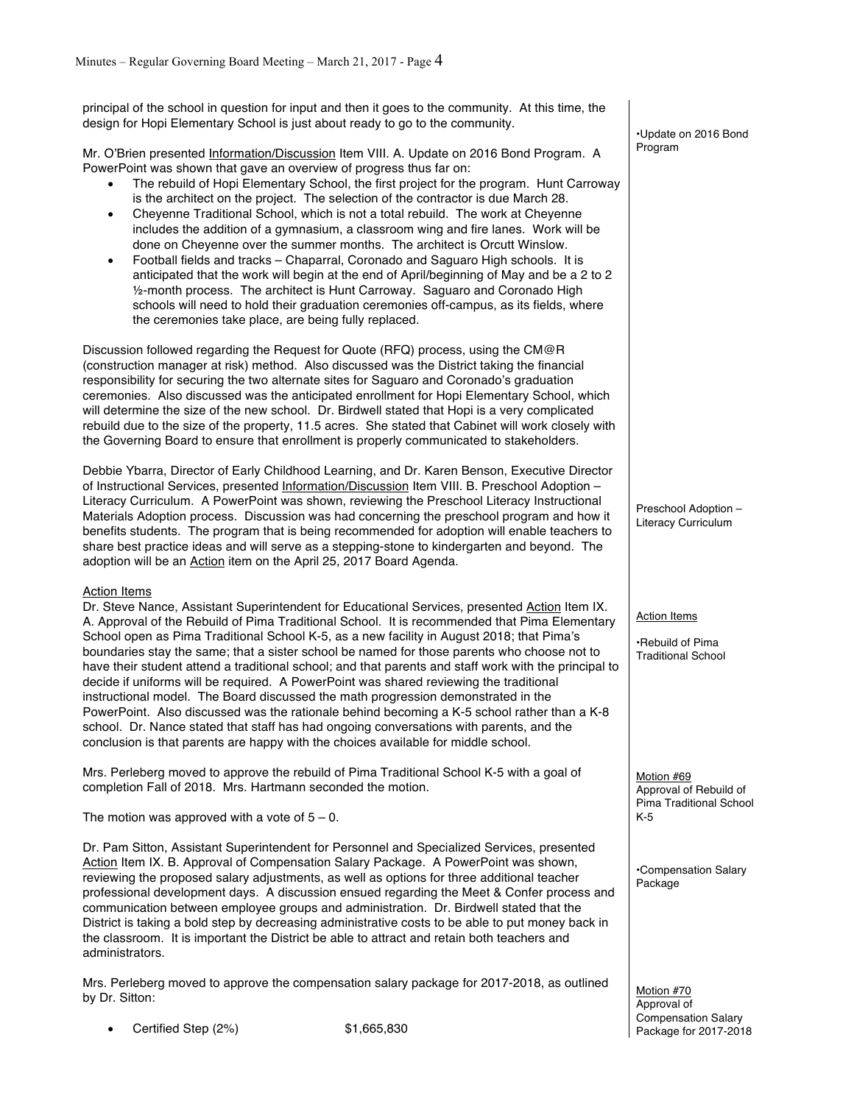principal of the school in question for input and then it goes to the community. At this time, the design for Hopi Elementary School is just about ready to go to the community.

Mr. O'Brien presented Information/Discussion Item VIII. A. Update on 2016 Bond Program. A PowerPoint was shown that gave an overview of progress thus far on:

- The rebuild of Hopi Elementary School, the first project for the program. Hunt Carroway is the architect on the project. The selection of the contractor is due March 28.
- Cheyenne Traditional School, which is not a total rebuild. The work at Cheyenne includes the addition of a gymnasium, a classroom wing and fire lanes. Work will be done on Cheyenne over the summer months. The architect is Orcutt Winslow.
- Football fields and tracks Chaparral, Coronado and Saguaro High schools. It is anticipated that the work will begin at the end of April/beginning of May and be a 2 to 2 ½-month process. The architect is Hunt Carroway. Saguaro and Coronado High schools will need to hold their graduation ceremonies off-campus, as its fields, where the ceremonies take place, are being fully replaced.

Discussion followed regarding the Request for Quote (RFQ) process, using the CM@R (construction manager at risk) method. Also discussed was the District taking the financial responsibility for securing the two alternate sites for Saguaro and Coronado's graduation ceremonies. Also discussed was the anticipated enrollment for Hopi Elementary School, which will determine the size of the new school. Dr. Birdwell stated that Hopi is a very complicated rebuild due to the size of the property, 11.5 acres. She stated that Cabinet will work closely with the Governing Board to ensure that enrollment is properly communicated to stakeholders.

Debbie Ybarra, Director of Early Childhood Learning, and Dr. Karen Benson, Executive Director of Instructional Services, presented Information/Discussion Item VIII. B. Preschool Adoption – Literacy Curriculum. A PowerPoint was shown, reviewing the Preschool Literacy Instructional Materials Adoption process. Discussion was had concerning the preschool program and how it benefits students. The program that is being recommended for adoption will enable teachers to share best practice ideas and will serve as a stepping-stone to kindergarten and beyond. The adoption will be an Action item on the April 25, 2017 Board Agenda.

## Action Items

Dr. Steve Nance, Assistant Superintendent for Educational Services, presented Action Item IX. A. Approval of the Rebuild of Pima Traditional School. It is recommended that Pima Elementary School open as Pima Traditional School K-5, as a new facility in August 2018; that Pima's boundaries stay the same; that a sister school be named for those parents who choose not to have their student attend a traditional school; and that parents and staff work with the principal to decide if uniforms will be required. A PowerPoint was shared reviewing the traditional instructional model. The Board discussed the math progression demonstrated in the PowerPoint. Also discussed was the rationale behind becoming a K-5 school rather than a K-8 school. Dr. Nance stated that staff has had ongoing conversations with parents, and the conclusion is that parents are happy with the choices available for middle school.

Mrs. Perleberg moved to approve the rebuild of Pima Traditional School K-5 with a goal of completion Fall of 2018. Mrs. Hartmann seconded the motion.

The motion was approved with a vote of  $5 - 0$ .

Dr. Pam Sitton, Assistant Superintendent for Personnel and Specialized Services, presented Action Item IX. B. Approval of Compensation Salary Package. A PowerPoint was shown, reviewing the proposed salary adjustments, as well as options for three additional teacher professional development days. A discussion ensued regarding the Meet & Confer process and communication between employee groups and administration. Dr. Birdwell stated that the District is taking a bold step by decreasing administrative costs to be able to put money back in the classroom. It is important the District be able to attract and retain both teachers and administrators.

Mrs. Perleberg moved to approve the compensation salary package for 2017-2018, as outlined by Dr. Sitton:

• Certified Step (2%) \$1,665,830

•Update on 2016 Bond Program

Preschool Adoption – Literacy Curriculum

Action Items

•Rebuild of Pima Traditional School

Motion #69 Approval of Rebuild of Pima Traditional School K-5

•Compensation Salary Package

Motion #70 Approval of Compensation Salary Package for 2017-2018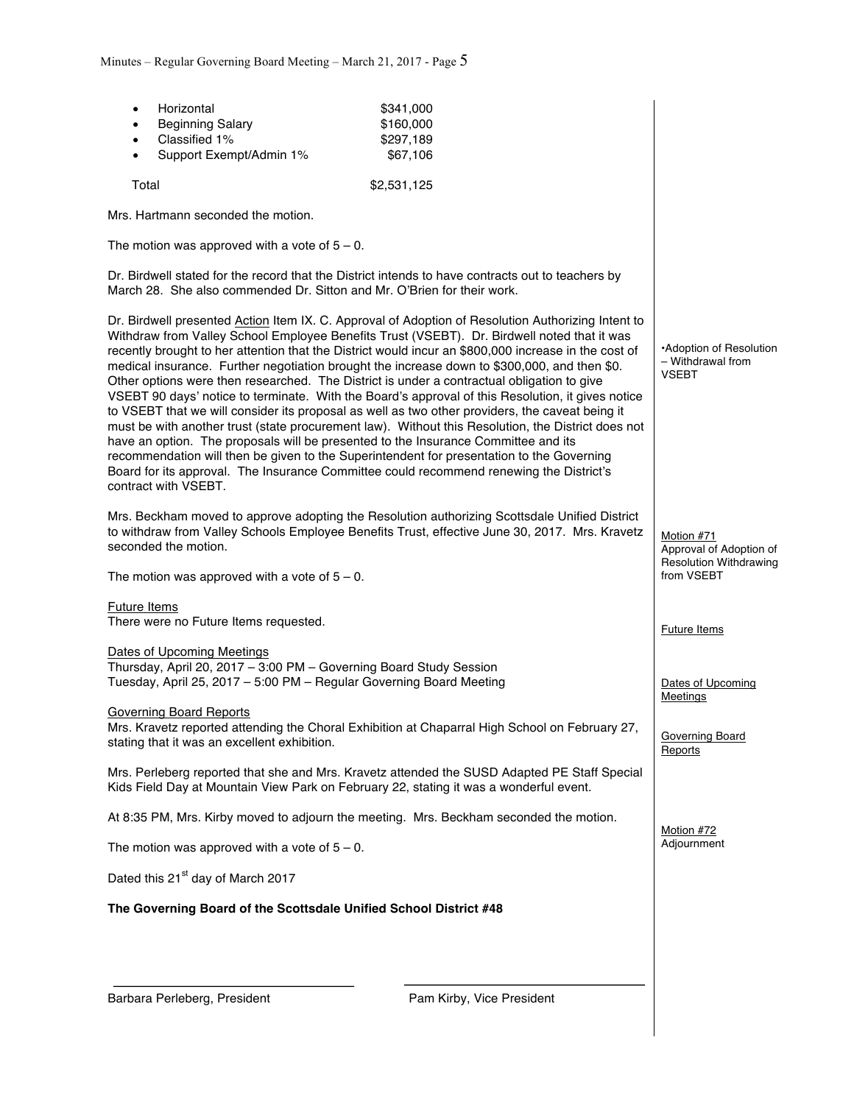| Horizontal<br>٠<br><b>Beginning Salary</b><br>$\bullet$<br>Classified 1%<br>$\bullet$<br>Support Exempt/Admin 1%<br>$\bullet$                                                                                                                                                                                                                                                                                                                                                                                                                                                                                                                                                                                                                                                                                                                                                                                                                                                                                                                                                                                               | \$341,000<br>\$160,000<br>\$297,189<br>\$67,106 |                                                                                      |
|-----------------------------------------------------------------------------------------------------------------------------------------------------------------------------------------------------------------------------------------------------------------------------------------------------------------------------------------------------------------------------------------------------------------------------------------------------------------------------------------------------------------------------------------------------------------------------------------------------------------------------------------------------------------------------------------------------------------------------------------------------------------------------------------------------------------------------------------------------------------------------------------------------------------------------------------------------------------------------------------------------------------------------------------------------------------------------------------------------------------------------|-------------------------------------------------|--------------------------------------------------------------------------------------|
| Total                                                                                                                                                                                                                                                                                                                                                                                                                                                                                                                                                                                                                                                                                                                                                                                                                                                                                                                                                                                                                                                                                                                       | \$2,531,125                                     |                                                                                      |
| Mrs. Hartmann seconded the motion.                                                                                                                                                                                                                                                                                                                                                                                                                                                                                                                                                                                                                                                                                                                                                                                                                                                                                                                                                                                                                                                                                          |                                                 |                                                                                      |
| The motion was approved with a vote of $5 - 0$ .                                                                                                                                                                                                                                                                                                                                                                                                                                                                                                                                                                                                                                                                                                                                                                                                                                                                                                                                                                                                                                                                            |                                                 |                                                                                      |
| Dr. Birdwell stated for the record that the District intends to have contracts out to teachers by<br>March 28. She also commended Dr. Sitton and Mr. O'Brien for their work.                                                                                                                                                                                                                                                                                                                                                                                                                                                                                                                                                                                                                                                                                                                                                                                                                                                                                                                                                |                                                 |                                                                                      |
| Dr. Birdwell presented Action Item IX. C. Approval of Adoption of Resolution Authorizing Intent to<br>Withdraw from Valley School Employee Benefits Trust (VSEBT). Dr. Birdwell noted that it was<br>recently brought to her attention that the District would incur an \$800,000 increase in the cost of<br>medical insurance. Further negotiation brought the increase down to \$300,000, and then \$0.<br>Other options were then researched. The District is under a contractual obligation to give<br>VSEBT 90 days' notice to terminate. With the Board's approval of this Resolution, it gives notice<br>to VSEBT that we will consider its proposal as well as two other providers, the caveat being it<br>must be with another trust (state procurement law). Without this Resolution, the District does not<br>have an option. The proposals will be presented to the Insurance Committee and its<br>recommendation will then be given to the Superintendent for presentation to the Governing<br>Board for its approval. The Insurance Committee could recommend renewing the District's<br>contract with VSEBT. |                                                 | •Adoption of Resolution<br>- Withdrawal from<br><b>VSEBT</b>                         |
| Mrs. Beckham moved to approve adopting the Resolution authorizing Scottsdale Unified District<br>to withdraw from Valley Schools Employee Benefits Trust, effective June 30, 2017. Mrs. Kravetz<br>seconded the motion.<br>The motion was approved with a vote of $5 - 0$ .                                                                                                                                                                                                                                                                                                                                                                                                                                                                                                                                                                                                                                                                                                                                                                                                                                                 |                                                 | Motion #71<br>Approval of Adoption of<br><b>Resolution Withdrawing</b><br>from VSEBT |
| <b>Future Items</b><br>There were no Future Items requested.                                                                                                                                                                                                                                                                                                                                                                                                                                                                                                                                                                                                                                                                                                                                                                                                                                                                                                                                                                                                                                                                |                                                 | <b>Future Items</b>                                                                  |
| Dates of Upcoming Meetings<br>Thursday, April 20, 2017 - 3:00 PM - Governing Board Study Session<br>Tuesday, April 25, 2017 - 5:00 PM - Regular Governing Board Meeting                                                                                                                                                                                                                                                                                                                                                                                                                                                                                                                                                                                                                                                                                                                                                                                                                                                                                                                                                     |                                                 | Dates of Upcoming<br><b>Meetings</b>                                                 |
| <b>Governing Board Reports</b><br>Mrs. Kravetz reported attending the Choral Exhibition at Chaparral High School on February 27,<br>stating that it was an excellent exhibition.                                                                                                                                                                                                                                                                                                                                                                                                                                                                                                                                                                                                                                                                                                                                                                                                                                                                                                                                            |                                                 | Governing Board<br>Reports                                                           |
| Mrs. Perleberg reported that she and Mrs. Kravetz attended the SUSD Adapted PE Staff Special<br>Kids Field Day at Mountain View Park on February 22, stating it was a wonderful event.                                                                                                                                                                                                                                                                                                                                                                                                                                                                                                                                                                                                                                                                                                                                                                                                                                                                                                                                      |                                                 |                                                                                      |
| At 8:35 PM, Mrs. Kirby moved to adjourn the meeting. Mrs. Beckham seconded the motion.                                                                                                                                                                                                                                                                                                                                                                                                                                                                                                                                                                                                                                                                                                                                                                                                                                                                                                                                                                                                                                      |                                                 | Motion #72                                                                           |
| The motion was approved with a vote of $5 - 0$ .                                                                                                                                                                                                                                                                                                                                                                                                                                                                                                                                                                                                                                                                                                                                                                                                                                                                                                                                                                                                                                                                            |                                                 | Adjournment                                                                          |
| Dated this 21 <sup>st</sup> day of March 2017                                                                                                                                                                                                                                                                                                                                                                                                                                                                                                                                                                                                                                                                                                                                                                                                                                                                                                                                                                                                                                                                               |                                                 |                                                                                      |
| The Governing Board of the Scottsdale Unified School District #48                                                                                                                                                                                                                                                                                                                                                                                                                                                                                                                                                                                                                                                                                                                                                                                                                                                                                                                                                                                                                                                           |                                                 |                                                                                      |
|                                                                                                                                                                                                                                                                                                                                                                                                                                                                                                                                                                                                                                                                                                                                                                                                                                                                                                                                                                                                                                                                                                                             |                                                 |                                                                                      |
| Barbara Perleberg, President                                                                                                                                                                                                                                                                                                                                                                                                                                                                                                                                                                                                                                                                                                                                                                                                                                                                                                                                                                                                                                                                                                | Pam Kirby, Vice President                       |                                                                                      |